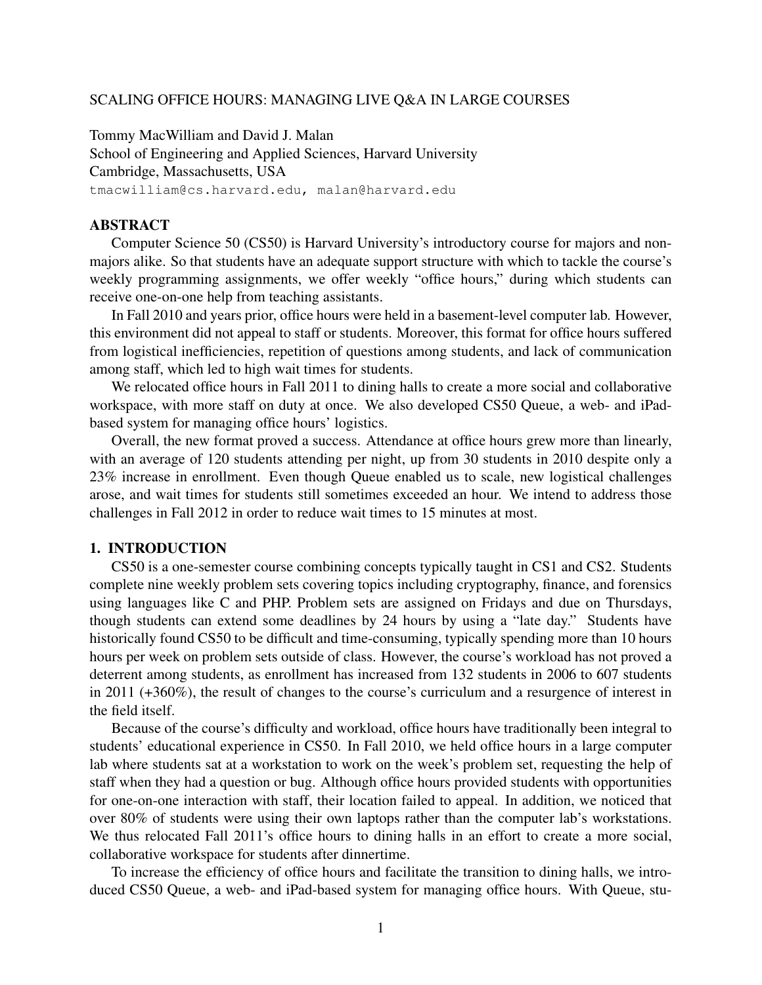#### SCALING OFFICE HOURS: MANAGING LIVE Q&A IN LARGE COURSES

Tommy MacWilliam and David J. Malan School of Engineering and Applied Sciences, Harvard University Cambridge, Massachusetts, USA tmacwilliam@cs.harvard.edu, malan@harvard.edu

## ABSTRACT

Computer Science 50 (CS50) is Harvard University's introductory course for majors and nonmajors alike. So that students have an adequate support structure with which to tackle the course's weekly programming assignments, we offer weekly "office hours," during which students can receive one-on-one help from teaching assistants.

In Fall 2010 and years prior, office hours were held in a basement-level computer lab. However, this environment did not appeal to staff or students. Moreover, this format for office hours suffered from logistical inefficiencies, repetition of questions among students, and lack of communication among staff, which led to high wait times for students.

We relocated office hours in Fall 2011 to dining halls to create a more social and collaborative workspace, with more staff on duty at once. We also developed CS50 Queue, a web- and iPadbased system for managing office hours' logistics.

Overall, the new format proved a success. Attendance at office hours grew more than linearly, with an average of 120 students attending per night, up from 30 students in 2010 despite only a 23% increase in enrollment. Even though Queue enabled us to scale, new logistical challenges arose, and wait times for students still sometimes exceeded an hour. We intend to address those challenges in Fall 2012 in order to reduce wait times to 15 minutes at most.

#### 1. INTRODUCTION

CS50 is a one-semester course combining concepts typically taught in CS1 and CS2. Students complete nine weekly problem sets covering topics including cryptography, finance, and forensics using languages like C and PHP. Problem sets are assigned on Fridays and due on Thursdays, though students can extend some deadlines by 24 hours by using a "late day." Students have historically found CS50 to be difficult and time-consuming, typically spending more than 10 hours hours per week on problem sets outside of class. However, the course's workload has not proved a deterrent among students, as enrollment has increased from 132 students in 2006 to 607 students in 2011 (+360%), the result of changes to the course's curriculum and a resurgence of interest in the field itself.

Because of the course's difficulty and workload, office hours have traditionally been integral to students' educational experience in CS50. In Fall 2010, we held office hours in a large computer lab where students sat at a workstation to work on the week's problem set, requesting the help of staff when they had a question or bug. Although office hours provided students with opportunities for one-on-one interaction with staff, their location failed to appeal. In addition, we noticed that over 80% of students were using their own laptops rather than the computer lab's workstations. We thus relocated Fall 2011's office hours to dining halls in an effort to create a more social, collaborative workspace for students after dinnertime.

To increase the efficiency of office hours and facilitate the transition to dining halls, we introduced CS50 Queue, a web- and iPad-based system for managing office hours. With Queue, stu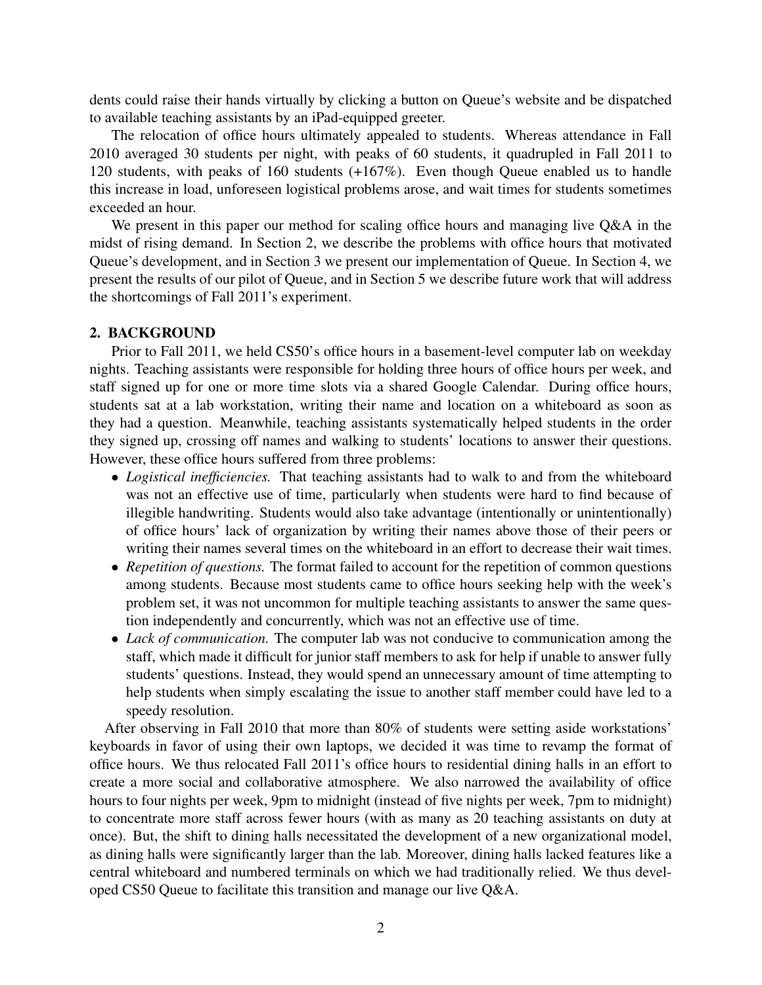dents could raise their hands virtually by clicking a button on Queue's website and be dispatched to available teaching assistants by an iPad-equipped greeter.

The relocation of office hours ultimately appealed to students. Whereas attendance in Fall 2010 averaged 30 students per night, with peaks of 60 students, it quadrupled in Fall 2011 to 120 students, with peaks of 160 students (+167%). Even though Queue enabled us to handle this increase in load, unforeseen logistical problems arose, and wait times for students sometimes exceeded an hour.

We present in this paper our method for scaling office hours and managing live Q&A in the midst of rising demand. In Section 2, we describe the problems with office hours that motivated Queue's development, and in Section 3 we present our implementation of Queue. In Section 4, we present the results of our pilot of Queue, and in Section 5 we describe future work that will address the shortcomings of Fall 2011's experiment.

#### 2. BACKGROUND

Prior to Fall 2011, we held CS50's office hours in a basement-level computer lab on weekday nights. Teaching assistants were responsible for holding three hours of office hours per week, and staff signed up for one or more time slots via a shared Google Calendar. During office hours, students sat at a lab workstation, writing their name and location on a whiteboard as soon as they had a question. Meanwhile, teaching assistants systematically helped students in the order they signed up, crossing off names and walking to students' locations to answer their questions. However, these office hours suffered from three problems:

- *Logistical inefficiencies.* That teaching assistants had to walk to and from the whiteboard was not an effective use of time, particularly when students were hard to find because of illegible handwriting. Students would also take advantage (intentionally or unintentionally) of office hours' lack of organization by writing their names above those of their peers or writing their names several times on the whiteboard in an effort to decrease their wait times.
- *Repetition of questions*. The format failed to account for the repetition of common questions among students. Because most students came to office hours seeking help with the week's problem set, it was not uncommon for multiple teaching assistants to answer the same question independently and concurrently, which was not an effective use of time.
- *Lack of communication*. The computer lab was not conducive to communication among the staff, which made it difficult for junior staff members to ask for help if unable to answer fully students' questions. Instead, they would spend an unnecessary amount of time attempting to help students when simply escalating the issue to another staff member could have led to a speedy resolution.

After observing in Fall 2010 that more than 80% of students were setting aside workstations' keyboards in favor of using their own laptops, we decided it was time to revamp the format of office hours. We thus relocated Fall 2011's office hours to residential dining halls in an effort to create a more social and collaborative atmosphere. We also narrowed the availability of office hours to four nights per week, 9pm to midnight (instead of five nights per week, 7pm to midnight) to concentrate more staff across fewer hours (with as many as 20 teaching assistants on duty at once). But, the shift to dining halls necessitated the development of a new organizational model, as dining halls were significantly larger than the lab. Moreover, dining halls lacked features like a central whiteboard and numbered terminals on which we had traditionally relied. We thus developed CS50 Queue to facilitate this transition and manage our live Q&A.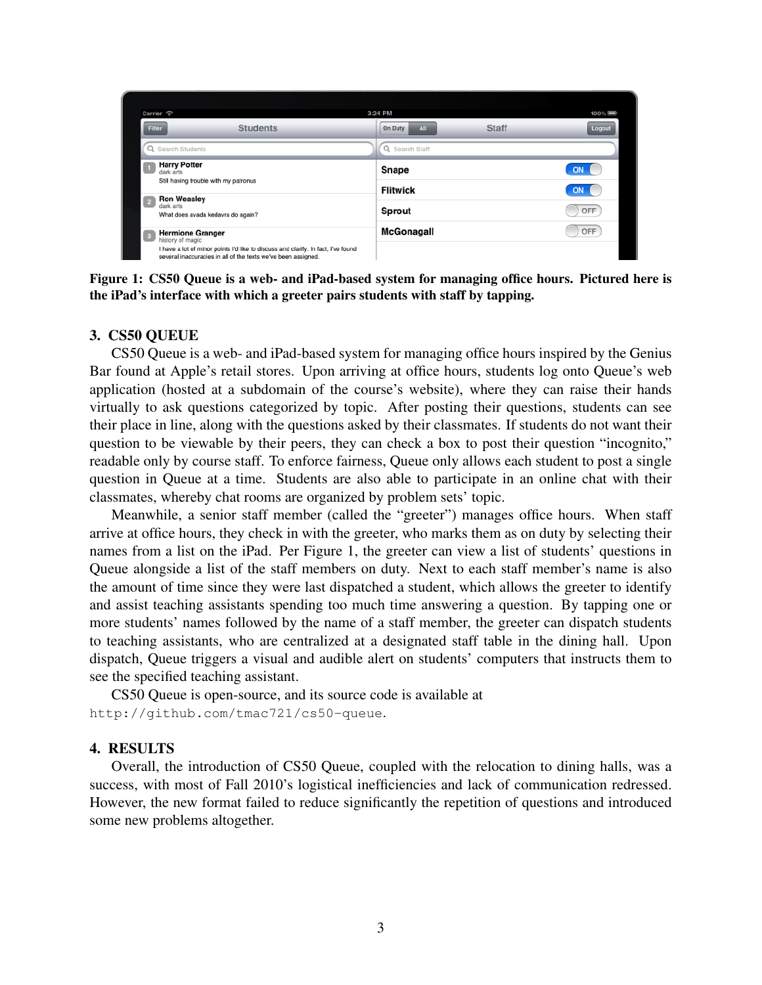| Carrier 今                        |                                                                                                                                                    | 3:24 PM        |                     | $100\%$   |
|----------------------------------|----------------------------------------------------------------------------------------------------------------------------------------------------|----------------|---------------------|-----------|
| Filter                           | <b>Students</b>                                                                                                                                    | On Duty        | <b>Staff</b><br>All | Logout    |
| Q Search Students                |                                                                                                                                                    | Q Search Staff |                     |           |
| <b>Harry Potter</b><br>dark arts |                                                                                                                                                    | Snape          |                     | ON        |
|                                  | Still having trouble with my patronus                                                                                                              |                | <b>Flitwick</b>     | <b>ON</b> |
|                                  | <b>Ron Weasley</b><br>dark arts<br>What does avada kedavra do again?                                                                               |                | <b>Sprout</b>       | OFF       |
| history of magic                 | <b>Hermione Granger</b>                                                                                                                            | McGonagall     |                     | OFF       |
|                                  | I have a lot of minor points I'd like to discuss and clarify. In fact, I've found<br>several inaccuracies in all of the texts we've been assigned. |                |                     |           |

Figure 1: CS50 Queue is a web- and iPad-based system for managing office hours. Pictured here is the iPad's interface with which a greeter pairs students with staff by tapping.

#### 3. CS50 QUEUE

CS50 Queue is a web- and iPad-based system for managing office hours inspired by the Genius Bar found at Apple's retail stores. Upon arriving at office hours, students log onto Queue's web application (hosted at a subdomain of the course's website), where they can raise their hands virtually to ask questions categorized by topic. After posting their questions, students can see their place in line, along with the questions asked by their classmates. If students do not want their question to be viewable by their peers, they can check a box to post their question "incognito," readable only by course staff. To enforce fairness, Queue only allows each student to post a single question in Queue at a time. Students are also able to participate in an online chat with their classmates, whereby chat rooms are organized by problem sets' topic.

Meanwhile, a senior staff member (called the "greeter") manages office hours. When staff arrive at office hours, they check in with the greeter, who marks them as on duty by selecting their names from a list on the iPad. Per Figure 1, the greeter can view a list of students' questions in Queue alongside a list of the staff members on duty. Next to each staff member's name is also the amount of time since they were last dispatched a student, which allows the greeter to identify and assist teaching assistants spending too much time answering a question. By tapping one or more students' names followed by the name of a staff member, the greeter can dispatch students to teaching assistants, who are centralized at a designated staff table in the dining hall. Upon dispatch, Queue triggers a visual and audible alert on students' computers that instructs them to see the specified teaching assistant.

CS50 Queue is open-source, and its source code is available at http://github.com/tmac721/cs50-queue.

#### 4. RESULTS

Overall, the introduction of CS50 Queue, coupled with the relocation to dining halls, was a success, with most of Fall 2010's logistical inefficiencies and lack of communication redressed. However, the new format failed to reduce significantly the repetition of questions and introduced some new problems altogether.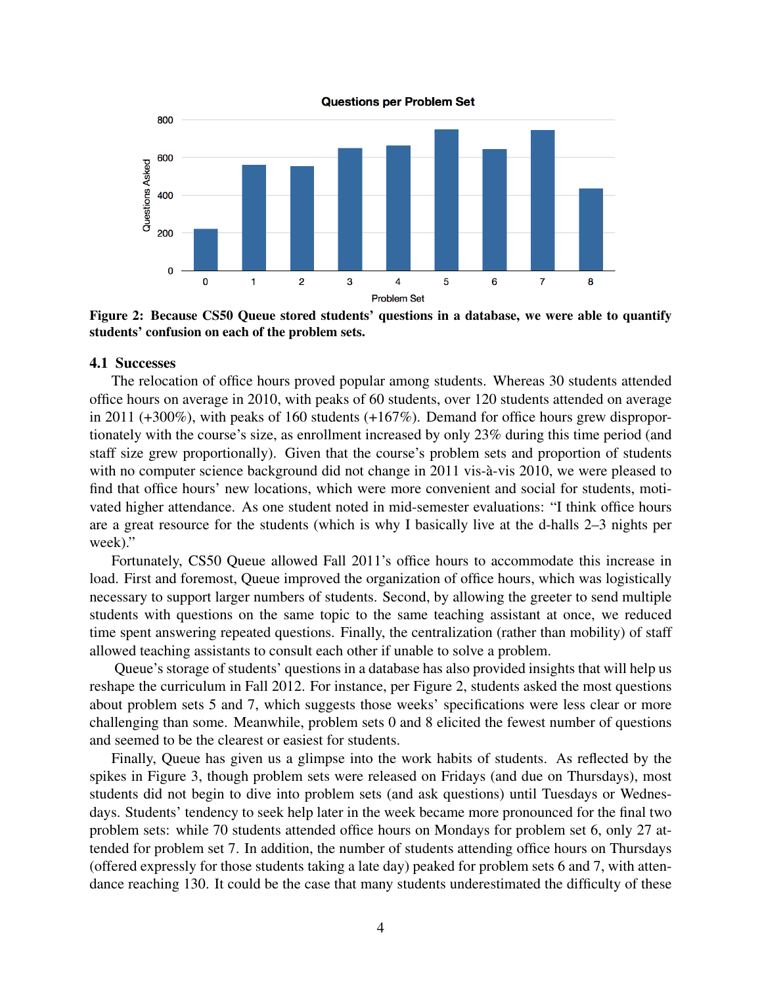

Figure 2: Because CS50 Queue stored students' questions in a database, we were able to quantify students' confusion on each of the problem sets.

#### 4.1 Successes

The relocation of office hours proved popular among students. Whereas 30 students attended office hours on average in 2010, with peaks of 60 students, over 120 students attended on average in 2011 (+300%), with peaks of 160 students (+167%). Demand for office hours grew disproportionately with the course's size, as enrollment increased by only 23% during this time period (and staff size grew proportionally). Given that the course's problem sets and proportion of students with no computer science background did not change in 2011 vis-à-vis 2010, we were pleased to find that office hours' new locations, which were more convenient and social for students, motivated higher attendance. As one student noted in mid-semester evaluations: "I think office hours are a great resource for the students (which is why I basically live at the d-halls 2–3 nights per week)."

Fortunately, CS50 Queue allowed Fall 2011's office hours to accommodate this increase in load. First and foremost, Queue improved the organization of office hours, which was logistically necessary to support larger numbers of students. Second, by allowing the greeter to send multiple students with questions on the same topic to the same teaching assistant at once, we reduced time spent answering repeated questions. Finally, the centralization (rather than mobility) of staff allowed teaching assistants to consult each other if unable to solve a problem.

Queue's storage of students' questions in a database has also provided insights that will help us reshape the curriculum in Fall 2012. For instance, per Figure 2, students asked the most questions about problem sets 5 and 7, which suggests those weeks' specifications were less clear or more challenging than some. Meanwhile, problem sets 0 and 8 elicited the fewest number of questions and seemed to be the clearest or easiest for students.

Finally, Queue has given us a glimpse into the work habits of students. As reflected by the spikes in Figure 3, though problem sets were released on Fridays (and due on Thursdays), most students did not begin to dive into problem sets (and ask questions) until Tuesdays or Wednesdays. Students' tendency to seek help later in the week became more pronounced for the final two problem sets: while 70 students attended office hours on Mondays for problem set 6, only 27 attended for problem set 7. In addition, the number of students attending office hours on Thursdays (offered expressly for those students taking a late day) peaked for problem sets 6 and 7, with attendance reaching 130. It could be the case that many students underestimated the difficulty of these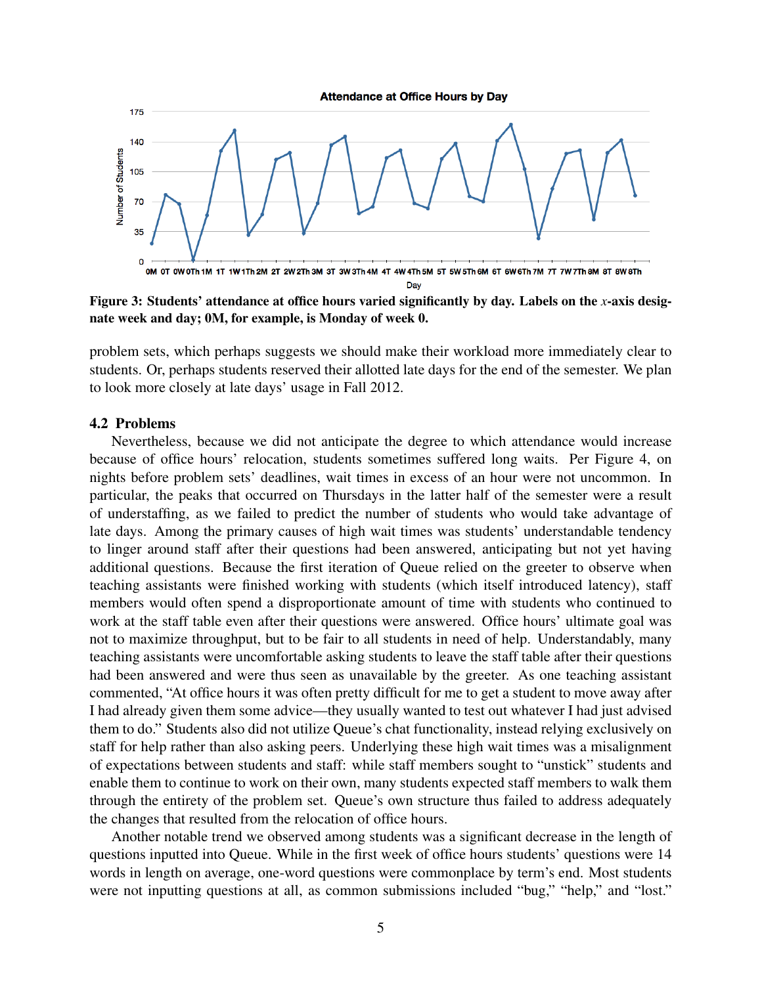**Attendance at Office Hours by Day** 



Figure 3: Students' attendance at office hours varied significantly by day. Labels on the *x*-axis designate week and day; 0M, for example, is Monday of week 0.

problem sets, which perhaps suggests we should make their workload more immediately clear to students. Or, perhaps students reserved their allotted late days for the end of the semester. We plan to look more closely at late days' usage in Fall 2012.

#### 4.2 Problems

Nevertheless, because we did not anticipate the degree to which attendance would increase because of office hours' relocation, students sometimes suffered long waits. Per Figure 4, on nights before problem sets' deadlines, wait times in excess of an hour were not uncommon. In particular, the peaks that occurred on Thursdays in the latter half of the semester were a result of understaffing, as we failed to predict the number of students who would take advantage of late days. Among the primary causes of high wait times was students' understandable tendency to linger around staff after their questions had been answered, anticipating but not yet having additional questions. Because the first iteration of Queue relied on the greeter to observe when teaching assistants were finished working with students (which itself introduced latency), staff members would often spend a disproportionate amount of time with students who continued to work at the staff table even after their questions were answered. Office hours' ultimate goal was not to maximize throughput, but to be fair to all students in need of help. Understandably, many teaching assistants were uncomfortable asking students to leave the staff table after their questions had been answered and were thus seen as unavailable by the greeter. As one teaching assistant commented, "At office hours it was often pretty difficult for me to get a student to move away after I had already given them some advice—they usually wanted to test out whatever I had just advised them to do." Students also did not utilize Queue's chat functionality, instead relying exclusively on staff for help rather than also asking peers. Underlying these high wait times was a misalignment of expectations between students and staff: while staff members sought to "unstick" students and enable them to continue to work on their own, many students expected staff members to walk them through the entirety of the problem set. Queue's own structure thus failed to address adequately the changes that resulted from the relocation of office hours.

Another notable trend we observed among students was a significant decrease in the length of questions inputted into Queue. While in the first week of office hours students' questions were 14 words in length on average, one-word questions were commonplace by term's end. Most students were not inputting questions at all, as common submissions included "bug," "help," and "lost."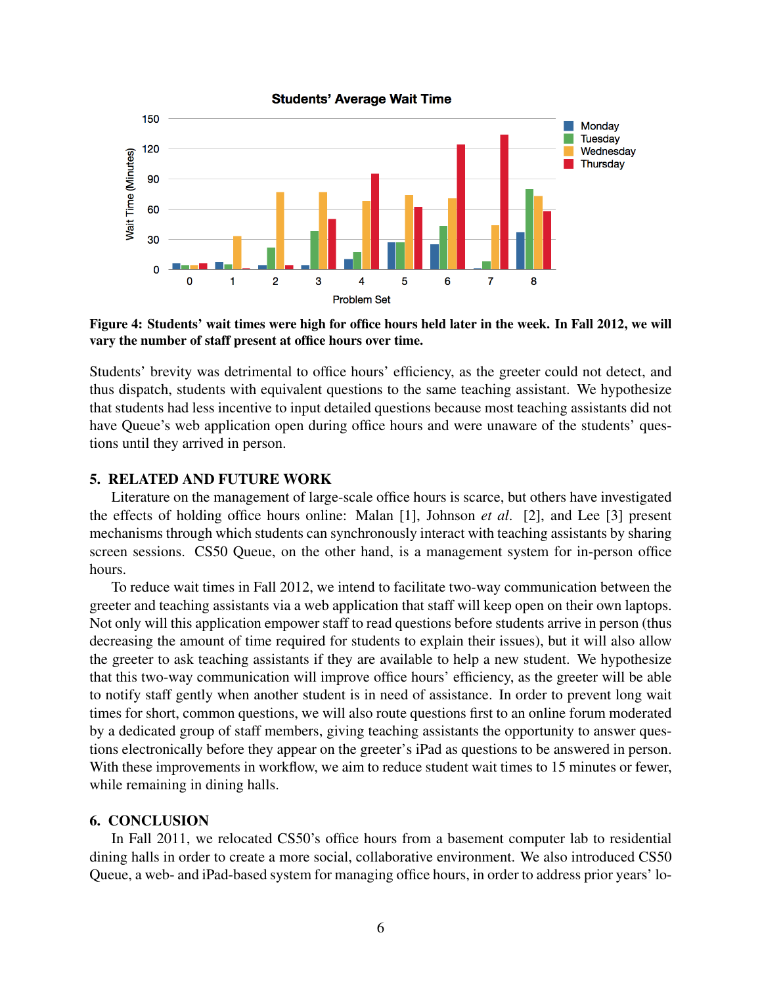

Figure 4: Students' wait times were high for office hours held later in the week. In Fall 2012, we will vary the number of staff present at office hours over time.

Students' brevity was detrimental to office hours' efficiency, as the greeter could not detect, and thus dispatch, students with equivalent questions to the same teaching assistant. We hypothesize that students had less incentive to input detailed questions because most teaching assistants did not have Queue's web application open during office hours and were unaware of the students' questions until they arrived in person.

### 5. RELATED AND FUTURE WORK

Literature on the management of large-scale office hours is scarce, but others have investigated the effects of holding office hours online: Malan [1], Johnson *et al*. [2], and Lee [3] present mechanisms through which students can synchronously interact with teaching assistants by sharing screen sessions. CS50 Queue, on the other hand, is a management system for in-person office hours.

To reduce wait times in Fall 2012, we intend to facilitate two-way communication between the greeter and teaching assistants via a web application that staff will keep open on their own laptops. Not only will this application empower staff to read questions before students arrive in person (thus decreasing the amount of time required for students to explain their issues), but it will also allow the greeter to ask teaching assistants if they are available to help a new student. We hypothesize that this two-way communication will improve office hours' efficiency, as the greeter will be able to notify staff gently when another student is in need of assistance. In order to prevent long wait times for short, common questions, we will also route questions first to an online forum moderated by a dedicated group of staff members, giving teaching assistants the opportunity to answer questions electronically before they appear on the greeter's iPad as questions to be answered in person. With these improvements in workflow, we aim to reduce student wait times to 15 minutes or fewer, while remaining in dining halls.

### 6. CONCLUSION

In Fall 2011, we relocated CS50's office hours from a basement computer lab to residential dining halls in order to create a more social, collaborative environment. We also introduced CS50 Queue, a web- and iPad-based system for managing office hours, in order to address prior years' lo